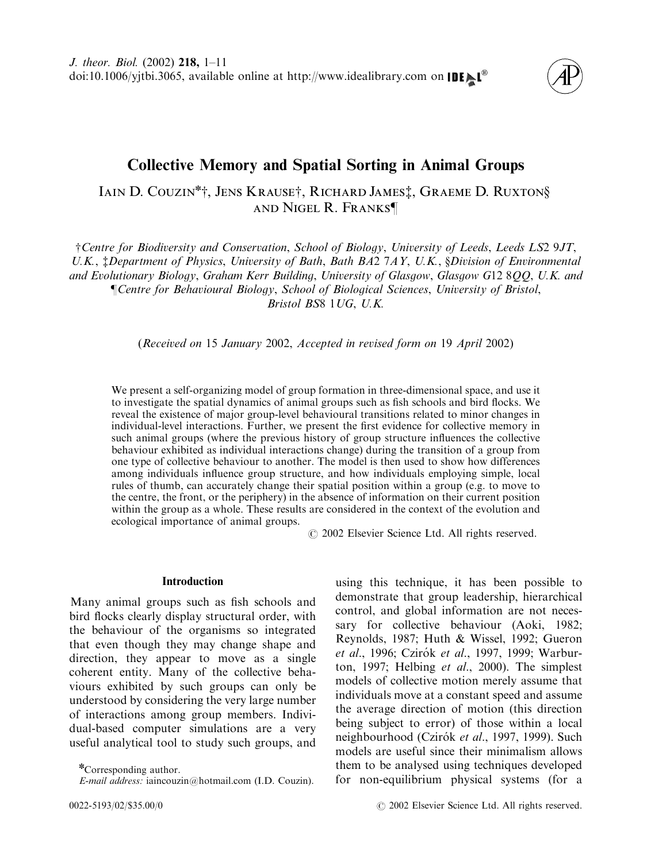

# Collective Memory and Spatial Sorting in Animal Groups

IAIN D. COUZIN<sup>\*†</sup>, JENS KRAUSE<sup>†</sup>, RICHARD JAMES<sup>†</sup>, GRAEME D. RUXTON§ and Nigel R. Franks

wCentre for Biodiversity and Conservation, School of Biology, University of Leeds, Leeds LS2 9JT, U.K.,  $\ddagger$ Department of Physics, University of Bath, Bath BA2 7AY, U.K.,  $\ddagger$ Division of Environmental and Evolutionary Biology, Graham Kerr Building, University of Glasgow, Glasgow G12 8QQ, U.K. and **J**Centre for Behavioural Biology, School of Biological Sciences, University of Bristol, Bristol BS8 1UG, U.K.

(Received on 15 January 2002, Accepted in revised form on 19 April 2002)

We present a self-organizing model of group formation in three-dimensional space, and use it to investigate the spatial dynamics of animal groups such as fish schools and bird flocks. We reveal the existence of major group-level behavioural transitions related to minor changes in individual-level interactions. Further, we present the first evidence for collective memory in such animal groups (where the previous history of group structure influences the collective behaviour exhibited as individual interactions change) during the transition of a group from one type of collective behaviour to another. The model is then used to show how differences among individuals influence group structure, and how individuals employing simple, local rules of thumb, can accurately change their spatial position within a group (e.g. to move to the centre, the front, or the periphery) in the absence of information on their current position within the group as a whole. These results are considered in the context of the evolution and ecological importance of animal groups.

 $\odot$  2002 Elsevier Science Ltd. All rights reserved.

# Introduction

Many animal groups such as fish schools and bird flocks clearly display structural order, with the behaviour of the organisms so integrated that even though they may change shape and direction, they appear to move as a single coherent entity. Many of the collective behaviours exhibited by such groups can only be understood by considering the very large number of interactions among group members. Individual-based computer simulations are a very useful analytical tool to study such groups, and

E-mail address: iaincouzin@hotmail.com (I.D. Couzin).

using this technique, it has been possible to demonstrate that group leadership, hierarchical control, and global information are not necessary for collective behaviour [\(Aoki, 1982;](#page-10-0) [Reynolds, 1987; Huth & Wissel, 1992](#page-10-0); [Gueron](#page-10-0) et al[., 1996](#page-10-0); Czirók et al., 1997, [1999; Warbur](#page-10-0)[ton, 1997; Helbing](#page-10-0) et al., 2000). The simplest models of collective motion merely assume that individuals move at a constant speed and assume the average direction of motion (this direction being subject to error) of those within a local neighbourhood (Czirók et al., 1997, [1999\)](#page-10-0). Such models are useful since their minimalism allows them to be analysed using techniques developed for non-equilibrium physical systems (for a

<sup>\*</sup>Corresponding author.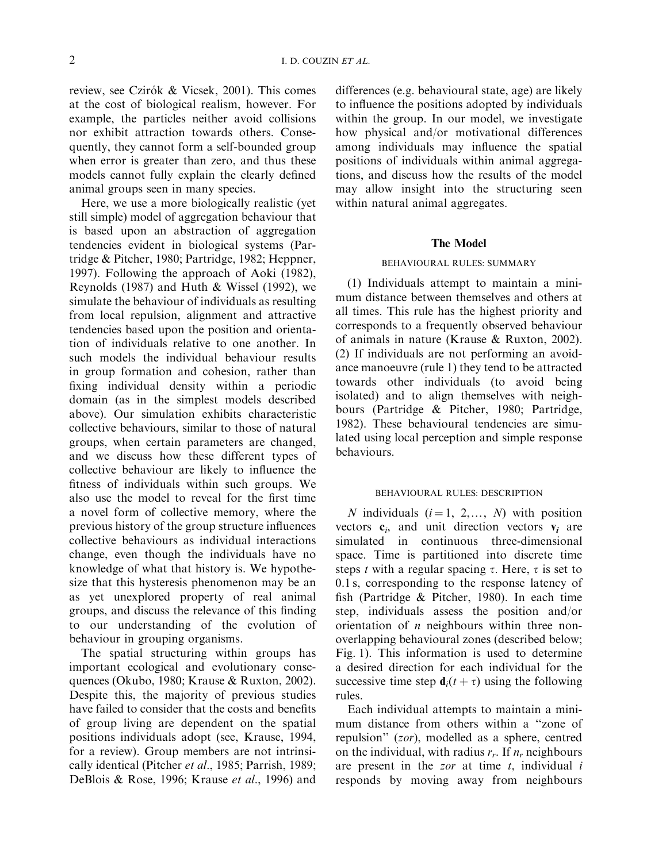review, see Czirók & Vicsek, 2001). This comes at the cost of biological realism, however. For example, the particles neither avoid collisions nor exhibit attraction towards others. Consequently, they cannot form a self-bounded group when error is greater than zero, and thus these models cannot fully explain the clearly defined animal groups seen in many species.

Here, we use a more biologically realistic (yet still simple) model of aggregation behaviour that is based upon an abstraction of aggregation tendencies evident in biological systems [\(Par](#page-10-0)[tridge & Pitcher, 1980; Partridge, 1982; Heppner,](#page-10-0) [1997\)](#page-10-0). Following the approach of [Aoki \(1982\),](#page-10-0) [Reynolds \(1987\)](#page-10-0) and [Huth & Wissel \(1992\),](#page-10-0) we simulate the behaviour of individuals as resulting from local repulsion, alignment and attractive tendencies based upon the position and orientation of individuals relative to one another. In such models the individual behaviour results in group formation and cohesion, rather than fixing individual density within a periodic domain (as in the simplest models described above). Our simulation exhibits characteristic collective behaviours, similar to those of natural groups, when certain parameters are changed, and we discuss how these different types of collective behaviour are likely to influence the fitness of individuals within such groups. We also use the model to reveal for the first time a novel form of collective memory, where the previous history of the group structure influences collective behaviours as individual interactions change, even though the individuals have no knowledge of what that history is. We hypothesize that this hysteresis phenomenon may be an as yet unexplored property of real animal groups, and discuss the relevance of this finding to our understanding of the evolution of behaviour in grouping organisms.

The spatial structuring within groups has important ecological and evolutionary consequences [\(Okubo, 1980; Krause & Ruxton, 2002\)](#page-10-0). Despite this, the majority of previous studies have failed to consider that the costs and benefits of group living are dependent on the spatial positions individuals adopt (see, [Krause, 1994,](#page-10-0) for a review). Group members are not intrinsically identical [\(Pitcher](#page-10-0) et al., 1985; [Parrish, 1989;](#page-10-0) [DeBlois & Rose, 1996](#page-10-0); [Krause](#page-10-0) et al., 1996) and differences (e.g. behavioural state, age) are likely to influence the positions adopted by individuals within the group. In our model, we investigate how physical and/or motivational differences among individuals may influence the spatial positions of individuals within animal aggregations, and discuss how the results of the model may allow insight into the structuring seen within natural animal aggregates.

## The Model

## BEHAVIOURAL RULES: SUMMARY

(1) Individuals attempt to maintain a minimum distance between themselves and others at all times. This rule has the highest priority and corresponds to a frequently observed behaviour of animals in nature [\(Krause & Ruxton, 2002\)](#page-10-0). (2) If individuals are not performing an avoidance manoeuvre (rule 1) they tend to be attracted towards other individuals (to avoid being isolated) and to align themselves with neighbours [\(Partridge & Pitcher, 1980](#page-10-0); [Partridge,](#page-10-0) [1982\).](#page-10-0) These behavioural tendencies are simulated using local perception and simple response behaviours.

## BEHAVIOURAL RULES: DESCRIPTION

N individuals  $(i = 1, 2, \ldots, N)$  with position vectors  $c_i$ , and unit direction vectors  $v_i$  are simulated in continuous three-dimensional space. Time is partitioned into discrete time steps t with a regular spacing  $\tau$ . Here,  $\tau$  is set to 0.1 s, corresponding to the response latency of fish [\(Partridge & Pitcher, 1980\)](#page-10-0). In each time step, individuals assess the position and/or orientation of  $n$  neighbours within three nonoverlapping behavioural zones (described below; [Fig. 1\)](#page-2-0). This information is used to determine a desired direction for each individual for the successive time step  $\mathbf{d}_i(t+\tau)$  using the following rules.

Each individual attempts to maintain a minimum distance from others within a ''zone of repulsion'' (zor), modelled as a sphere, centred on the individual, with radius  $r_r$ . If  $n_r$  neighbours are present in the zor at time  $t$ , individual  $i$ responds by moving away from neighbours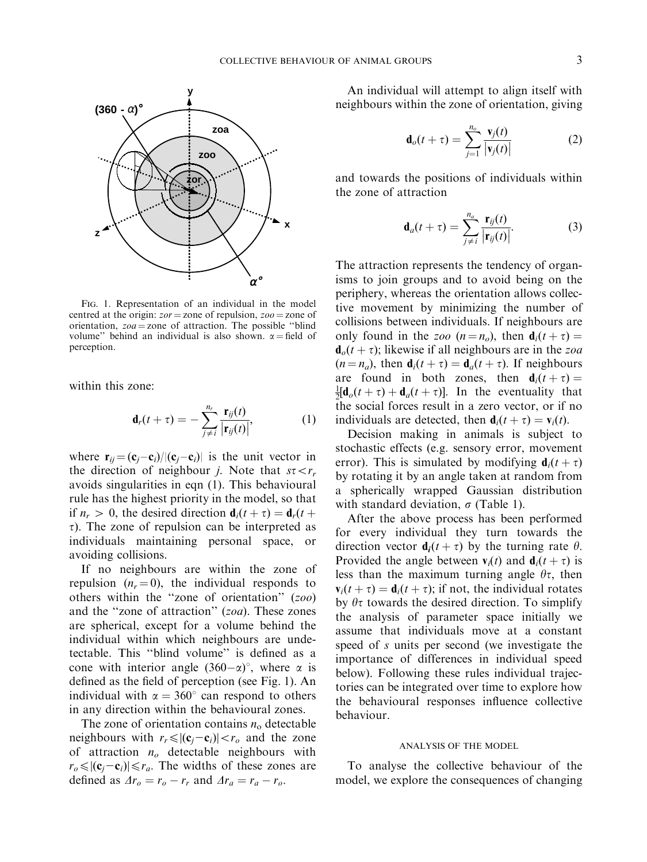<span id="page-2-0"></span>

Fig. 1. Representation of an individual in the model centred at the origin:  $zor = zone$  of repulsion,  $zoo = zone$  of orientation,  $zoa = zone$  of attraction. The possible "blind" volume" behind an individual is also shown.  $\alpha$  = field of perception.

within this zone:

$$
\mathbf{d}_r(t+\tau) = -\sum_{j\neq i}^{n_r} \frac{\mathbf{r}_{ij}(t)}{|\mathbf{r}_{ij}(t)|},
$$
 (1)

where  $\mathbf{r}_{ij} = (\mathbf{c}_i - \mathbf{c}_i)/|(\mathbf{c}_i - \mathbf{c}_i)|$  is the unit vector in the direction of neighbour *j*. Note that  $s\tau < r_r$ avoids singularities in eqn (1). This behavioural rule has the highest priority in the model, so that if  $n_r > 0$ , the desired direction  $\mathbf{d}_i(t + \tau) = \mathbf{d}_r(t + \tau)$  $\tau$ ). The zone of repulsion can be interpreted as individuals maintaining personal space, or avoiding collisions.

If no neighbours are within the zone of repulsion  $(n_r = 0)$ , the individual responds to others within the ''zone of orientation'' (zoo) and the ''zone of attraction'' (zoa). These zones are spherical, except for a volume behind the individual within which neighbours are undetectable. This ''blind volume'' is defined as a cone with interior angle  $(360-\alpha)^\circ$ , where  $\alpha$  is defined as the field of perception (see Fig. 1). An individual with  $\alpha = 360^{\circ}$  can respond to others in any direction within the behavioural zones.

The zone of orientation contains  $n_0$  detectable neighbours with  $r_r \le |(\mathbf{c}_j - \mathbf{c}_i)| < r_o$  and the zone of attraction  $n<sub>o</sub>$  detectable neighbours with  $r_o \le |(\mathbf{c}_i - \mathbf{c}_i)| \le r_a$ . The widths of these zones are defined as  $\Delta r_o = r_o - r_r$  and  $\Delta r_a = r_a - r_o$ .

An individual will attempt to align itself with neighbours within the zone of orientation, giving

$$
\mathbf{d}_o(t+\tau) = \sum_{j=1}^{n_o} \frac{\mathbf{v}_j(t)}{|\mathbf{v}_j(t)|}
$$
 (2)

and towards the positions of individuals within the zone of attraction

$$
\mathbf{d}_a(t+\tau) = \sum_{j \neq i}^{n_a} \frac{\mathbf{r}_{ij}(t)}{|\mathbf{r}_{ij}(t)|}.
$$
 (3)

The attraction represents the tendency of organisms to join groups and to avoid being on the periphery, whereas the orientation allows collective movement by minimizing the number of collisions between individuals. If neighbours are only found in the zoo  $(n = n_o)$ , then  $\mathbf{d}_i(t + \tau) =$  $d<sub>o</sub>(t + \tau)$ ; likewise if all neighbours are in the zoa  $(n = n_a)$ , then  $\mathbf{d}_i(t + \tau) = \mathbf{d}_a(t + \tau)$ . If neighbours are found in both zones, then  $\mathbf{d}_i(t+\tau) =$  $\frac{1}{2}[\mathbf{d}_o(t+\tau)+\mathbf{d}_a(t+\tau)]$ . In the eventuality that the social forces result in a zero vector, or if no individuals are detected, then  $\mathbf{d}_i(t + \tau) = \mathbf{v}_i(t)$ .

Decision making in animals is subject to stochastic effects (e.g. sensory error, movement error). This is simulated by modifying  $\mathbf{d}_i(t+\tau)$ by rotating it by an angle taken at random from a spherically wrapped Gaussian distribution with standard deviation,  $\sigma$  [\(Table 1\).](#page-3-0)

After the above process has been performed for every individual they turn towards the direction vector  $\mathbf{d}_i(t+\tau)$  by the turning rate  $\theta$ . Provided the angle between  $v_i(t)$  and  $d_i(t + \tau)$  is less than the maximum turning angle  $\theta\tau$ , then  $\mathbf{v}_i(t+\tau) = \mathbf{d}_i(t+\tau)$ ; if not, the individual rotates by  $\theta\tau$  towards the desired direction. To simplify the analysis of parameter space initially we assume that individuals move at a constant speed of s units per second (we investigate the importance of differences in individual speed below). Following these rules individual trajectories can be integrated over time to explore how the behavioural responses influence collective behaviour.

#### ANALYSIS OF THE MODEL

To analyse the collective behaviour of the model, we explore the consequences of changing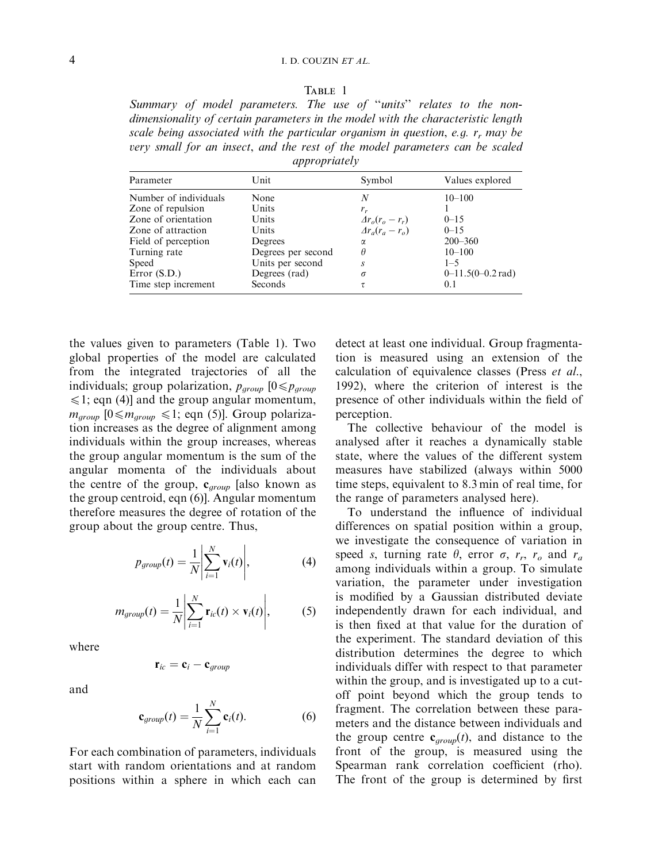# TABLE 1

<span id="page-3-0"></span>Summary of model parameters. The use of "units" relates to the nondimensionality of certain parameters in the model with the characteristic length scale being associated with the particular organism in question, e.g.  $r_r$  may be very small for an insect, and the rest of the model parameters can be scaled appropriately

| Parameter             | Unit               | Symbol                | Values explored     |
|-----------------------|--------------------|-----------------------|---------------------|
| Number of individuals | None               | N                     | $10 - 100$          |
| Zone of repulsion     | Units              | $r_r$                 |                     |
| Zone of orientation   | Units              | $\Delta r_o(r_o-r_r)$ | $0 - 15$            |
| Zone of attraction    | Units              | $\Delta r_a(r_a-r_o)$ | $0 - 15$            |
| Field of perception   | Degrees            | α                     | $200 - 360$         |
| Turning rate          | Degrees per second | $\theta$              | $10 - 100$          |
| Speed                 | Units per second   | S                     | $1 - 5$             |
| Error $(S.D.)$        | Degrees (rad)      | $\sigma$              | $0-11.5(0-0.2$ rad) |
| Time step increment   | Seconds            | τ                     | 0.1                 |

the values given to parameters (Table 1). Two global properties of the model are calculated from the integrated trajectories of all the individuals; group polarization,  $p_{aroun}$  [0 $\leq p_{aroun}$ ]  $\leq 1$ ; eqn (4)] and the group angular momentum,  $m_{group}$  [0 $\leq m_{group} \leq 1$ ; eqn (5)]. Group polarization increases as the degree of alignment among individuals within the group increases, whereas the group angular momentum is the sum of the angular momenta of the individuals about the centre of the group,  $c_{\text{group}}$  [also known as the group centroid, eqn (6)]. Angular momentum therefore measures the degree of rotation of the group about the group centre. Thus,

$$
p_{group}(t) = \frac{1}{N} \left| \sum_{i=1}^{N} \mathbf{v}_i(t) \right|, \tag{4}
$$

$$
m_{group}(t) = \frac{1}{N} \left| \sum_{i=1}^{N} \mathbf{r}_{ic}(t) \times \mathbf{v}_{i}(t) \right|, \quad (5)
$$

where

$$
\mathbf{r}_{ic} = \mathbf{c}_i - \mathbf{c}_{group}
$$

and

$$
\mathbf{c}_{group}(t) = \frac{1}{N} \sum_{i=1}^{N} \mathbf{c}_i(t).
$$
 (6)

For each combination of parameters, individuals start with random orientations and at random positions within a sphere in which each can detect at least one individual. Group fragmentation is measured using an extension of the calculation of equivalence classes [\(Press](#page-10-0) et al., [1992\)](#page-10-0), where the criterion of interest is the presence of other individuals within the field of perception.

The collective behaviour of the model is analysed after it reaches a dynamically stable state, where the values of the different system measures have stabilized (always within 5000 time steps, equivalent to 8.3 min of real time, for the range of parameters analysed here).

To understand the influence of individual differences on spatial position within a group, we investigate the consequence of variation in speed s, turning rate  $\theta$ , error  $\sigma$ ,  $r_r$ ,  $r_o$  and  $r_a$ among individuals within a group. To simulate variation, the parameter under investigation is modified by a Gaussian distributed deviate independently drawn for each individual, and is then fixed at that value for the duration of the experiment. The standard deviation of this distribution determines the degree to which individuals differ with respect to that parameter within the group, and is investigated up to a cutoff point beyond which the group tends to fragment. The correlation between these parameters and the distance between individuals and the group centre  $c_{group}(t)$ , and distance to the front of the group, is measured using the Spearman rank correlation coefficient (rho). The front of the group is determined by first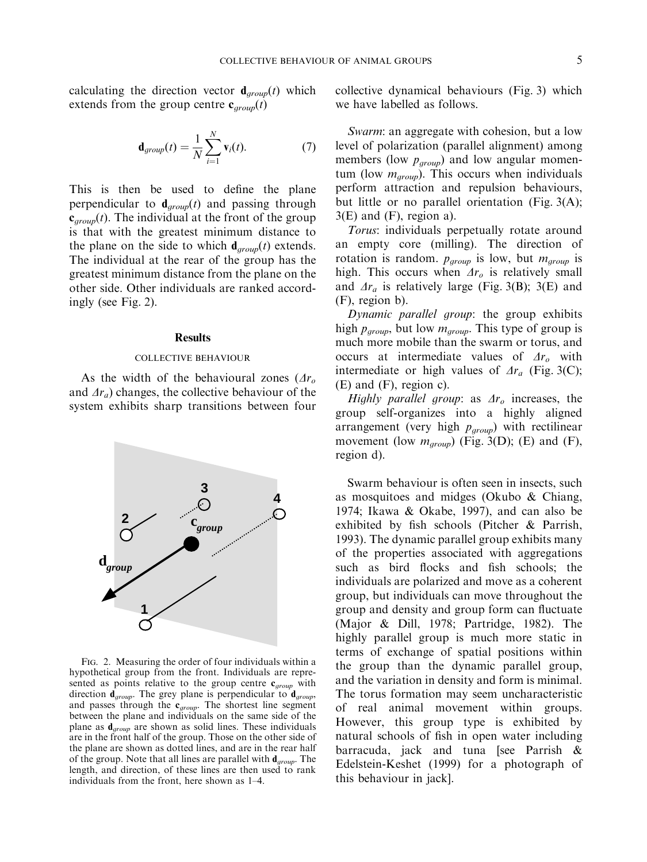calculating the direction vector  $\mathbf{d}_{aroup}(t)$  which extends from the group centre  $c_{\text{group}}(t)$ 

$$
\mathbf{d}_{group}(t) = \frac{1}{N} \sum_{i=1}^{N} \mathbf{v}_i(t). \tag{7}
$$

This is then be used to define the plane perpendicular to  $\mathbf{d}_{group}(t)$  and passing through  $c_{\text{group}}(t)$ . The individual at the front of the group is that with the greatest minimum distance to the plane on the side to which  $\mathbf{d}_{aroun}(t)$  extends. The individual at the rear of the group has the greatest minimum distance from the plane on the other side. Other individuals are ranked accordingly (see Fig. 2).

#### **Results**

## COLLECTIVE BEHAVIOUR

As the width of the behavioural zones  $(\Delta r_o)$ and  $\Delta r_a$ ) changes, the collective behaviour of the system exhibits sharp transitions between four



Fig. 2. Measuring the order of four individuals within a hypothetical group from the front. Individuals are represented as points relative to the group centre  $c_{group}$  with direction  $\mathbf{d}_{group}$ . The grey plane is perpendicular to  $\mathbf{d}_{group}$ , and passes through the  $c_{group}$ . The shortest line segment between the plane and individuals on the same side of the plane as  $\mathbf{d}_{group}$  are shown as solid lines. These individuals are in the front half of the group. Those on the other side of the plane are shown as dotted lines, and are in the rear half of the group. Note that all lines are parallel with  $d_{aroun}$ . The length, and direction, of these lines are then used to rank individuals from the front, here shown as 1–4.

collective dynamical behaviours [\(Fig. 3\)](#page-5-0) which we have labelled as follows.

Swarm: an aggregate with cohesion, but a low level of polarization (parallel alignment) among members (low  $p_{\text{group}}$ ) and low angular momentum (low  $m_{\text{group}}$ ). This occurs when individuals perform attraction and repulsion behaviours, but little or no parallel orientation [\(Fig. 3\(A\);](#page-5-0)  $3(E)$  and  $(F)$ , region a).

Torus: individuals perpetually rotate around an empty core (milling). The direction of rotation is random.  $p_{group}$  is low, but  $m_{group}$  is high. This occurs when  $\Delta r_o$  is relatively small and  $\Delta r_a$  is relatively large [\(Fig. 3\(B\)](#page-5-0); [3\(E\)](#page-5-0) and [\(F\),](#page-5-0) region b).

Dynamic parallel group: the group exhibits high  $p_{group}$ , but low  $m_{group}$ . This type of group is much more mobile than the swarm or torus, and occurs at intermediate values of  $\Delta r_o$  with intermediate or high values of  $\Delta r_a$  [\(Fig. 3\(C\)](#page-5-0); [\(E\)](#page-5-0) and [\(F\)](#page-5-0), region c).

Highly parallel group: as  $\Delta r_o$  increases, the group self-organizes into a highly aligned arrangement (very high  $p_{group}$ ) with rectilinear movement (low  $m_{aroun}$ ) [\(Fig. 3\(D\)](#page-5-0); [\(E\)](#page-5-0) and [\(F\),](#page-5-0) region d).

Swarm behaviour is often seen in insects, such as mosquitoes and midges [\(Okubo & Chiang,](#page-10-0) [1974; Ikawa & Okabe, 1997\)](#page-10-0), and can also be exhibited by fish schools [\(Pitcher & Parrish,](#page-10-0) [1993\)](#page-10-0). The dynamic parallel group exhibits many of the properties associated with aggregations such as bird flocks and fish schools; the individuals are polarized and move as a coherent group, but individuals can move throughout the group and density and group form can fluctuate [\(Major & Dill, 1978; Partridge, 1982\)](#page-10-0). The highly parallel group is much more static in terms of exchange of spatial positions within the group than the dynamic parallel group, and the variation in density and form is minimal. The torus formation may seem uncharacteristic of real animal movement within groups. However, this group type is exhibited by natural schools of fish in open water including barracuda, jack and tuna [see [Parrish &](#page-10-0) [Edelstein-Keshet \(1999\)](#page-10-0) for a photograph of this behaviour in jack].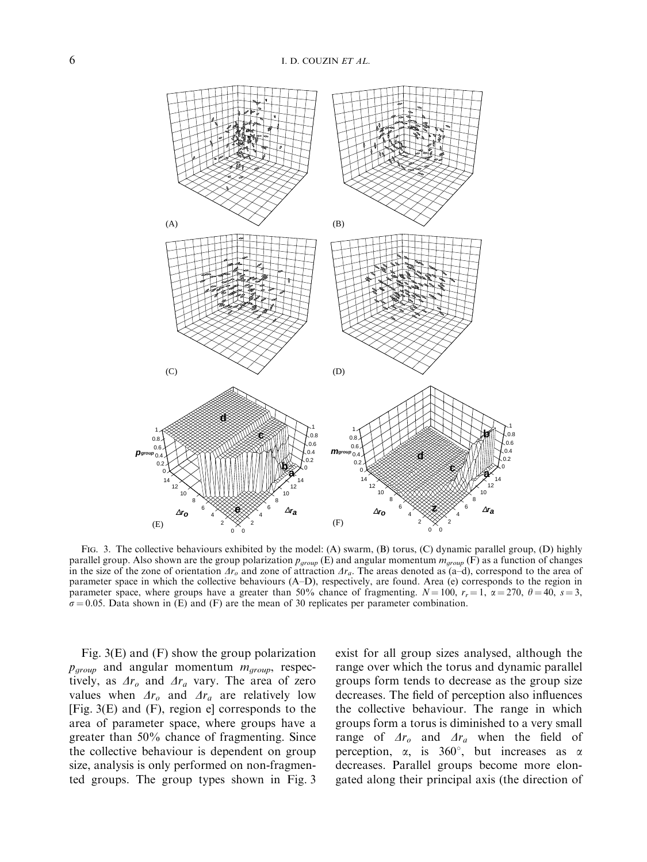<span id="page-5-0"></span>

Fig. 3. The collective behaviours exhibited by the model: (A) swarm, (B) torus, (C) dynamic parallel group, (D) highly parallel group. Also shown are the group polarization  $p_{group}$  (E) and angular momentum  $m_{group}$  (F) as a function of changes in the size of the zone of orientation  $\Delta r_a$  and zone of attraction  $\Delta r_a$ . The areas denoted as (a–d), correspond to the area of parameter space in which the collective behaviours (A–D), respectively, are found. Area (e) corresponds to the region in parameter space, where groups have a greater than 50% chance of fragmenting.  $N = 100$ ,  $r_r = 1$ ,  $\alpha = 270$ ,  $\theta = 40$ ,  $s = 3$ ,  $\sigma = 0.05$ . Data shown in (E) and (F) are the mean of 30 replicates per parameter combination.

Fig. 3(E) and (F) show the group polarization  $p_{group}$  and angular momentum  $m_{group}$ , respectively, as  $\Delta r_o$  and  $\Delta r_a$  vary. The area of zero values when  $\Delta r_o$  and  $\Delta r_a$  are relatively low [Fig. 3(E) and (F), region e] corresponds to the area of parameter space, where groups have a greater than 50% chance of fragmenting. Since the collective behaviour is dependent on group size, analysis is only performed on non-fragmented groups. The group types shown in Fig. 3 exist for all group sizes analysed, although the range over which the torus and dynamic parallel groups form tends to decrease as the group size decreases. The field of perception also influences the collective behaviour. The range in which groups form a torus is diminished to a very small range of  $\Delta r_a$  and  $\Delta r_a$  when the field of perception,  $\alpha$ , is 360°, but increases as  $\alpha$ decreases. Parallel groups become more elongated along their principal axis (the direction of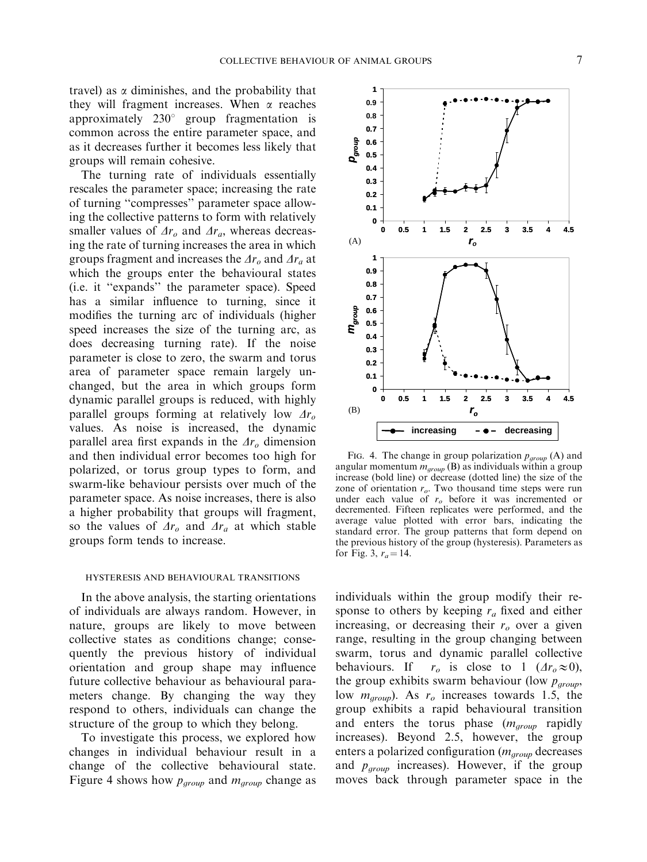travel) as  $\alpha$  diminishes, and the probability that they will fragment increases. When  $\alpha$  reaches approximately  $230^\circ$  group fragmentation is common across the entire parameter space, and as it decreases further it becomes less likely that groups will remain cohesive.

The turning rate of individuals essentially rescales the parameter space; increasing the rate of turning ''compresses'' parameter space allowing the collective patterns to form with relatively smaller values of  $\Delta r_a$  and  $\Delta r_a$ , whereas decreasing the rate of turning increases the area in which groups fragment and increases the  $\Delta r_a$  and  $\Delta r_a$  at which the groups enter the behavioural states (i.e. it ''expands'' the parameter space). Speed has a similar influence to turning, since it modifies the turning arc of individuals (higher speed increases the size of the turning arc, as does decreasing turning rate). If the noise parameter is close to zero, the swarm and torus area of parameter space remain largely unchanged, but the area in which groups form dynamic parallel groups is reduced, with highly parallel groups forming at relatively low  $\Delta r_o$ values. As noise is increased, the dynamic parallel area first expands in the  $\Delta r_o$  dimension and then individual error becomes too high for polarized, or torus group types to form, and swarm-like behaviour persists over much of the parameter space. As noise increases, there is also a higher probability that groups will fragment, so the values of  $\Delta r_a$  and  $\Delta r_a$  at which stable groups form tends to increase.

#### HYSTERESIS AND BEHAVIOURAL TRANSITIONS

In the above analysis, the starting orientations of individuals are always random. However, in nature, groups are likely to move between collective states as conditions change; consequently the previous history of individual orientation and group shape may influence future collective behaviour as behavioural parameters change. By changing the way they respond to others, individuals can change the structure of the group to which they belong.

To investigate this process, we explored how changes in individual behaviour result in a change of the collective behavioural state. Figure 4 shows how  $p_{group}$  and  $m_{group}$  change as

FIG. 4. The change in group polarization  $p_{group}(A)$  and angular momentum  $m_{\text{group}}$  (B) as individuals within a group increase (bold line) or decrease (dotted line) the size of the zone of orientation  $r<sub>o</sub>$ . Two thousand time steps were run under each value of  $r<sub>o</sub>$  before it was incremented or decremented. Fifteen replicates were performed, and the average value plotted with error bars, indicating the standard error. The group patterns that form depend on the previous history of the group (hysteresis). Parameters as for [Fig. 3,](#page-5-0)  $r_a = 14$ .

individuals within the group modify their response to others by keeping  $r_a$  fixed and either increasing, or decreasing their  $r<sub>o</sub>$  over a given range, resulting in the group changing between swarm, torus and dynamic parallel collective behaviours. If  $r_o$  is close to 1  $(\Delta r_o \approx 0)$ , the group exhibits swarm behaviour (low  $p_{\text{group}}$ , low  $m_{group}$ ). As  $r_o$  increases towards 1.5, the group exhibits a rapid behavioural transition and enters the torus phase  $(m_{aroup}$  rapidly increases). Beyond 2.5, however, the group enters a polarized configuration  $(m_{aroup}$  decreases and  $p_{aroup}$  increases). However, if the group moves back through parameter space in the

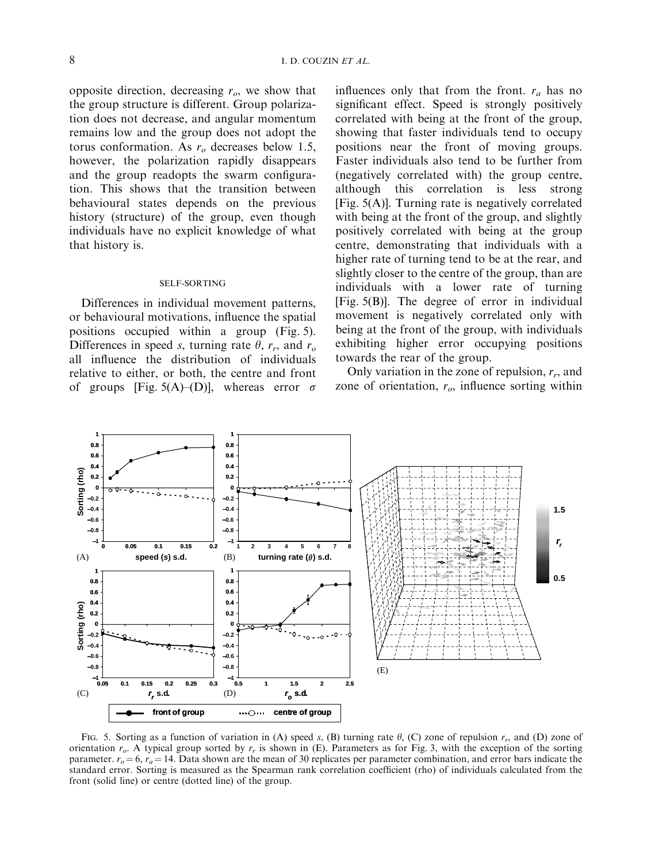<span id="page-7-0"></span>opposite direction, decreasing  $r<sub>o</sub>$ , we show that the group structure is different. Group polarization does not decrease, and angular momentum remains low and the group does not adopt the torus conformation. As  $r<sub>o</sub>$  decreases below 1.5, however, the polarization rapidly disappears and the group readopts the swarm configuration. This shows that the transition between behavioural states depends on the previous history (structure) of the group, even though individuals have no explicit knowledge of what that history is.

#### SELF-SORTING

Differences in individual movement patterns, or behavioural motivations, influence the spatial positions occupied within a group (Fig. 5). Differences in speed s, turning rate  $\theta$ ,  $r_r$ , and  $r_o$ all influence the distribution of individuals relative to either, or both, the centre and front of groups [Fig. 5(A)–(D)], whereas error  $\sigma$  influences only that from the front.  $r_a$  has no significant effect. Speed is strongly positively correlated with being at the front of the group, showing that faster individuals tend to occupy positions near the front of moving groups. Faster individuals also tend to be further from (negatively correlated with) the group centre, although this correlation is less strong [Fig. 5(A)]. Turning rate is negatively correlated with being at the front of the group, and slightly positively correlated with being at the group centre, demonstrating that individuals with a higher rate of turning tend to be at the rear, and slightly closer to the centre of the group, than are individuals with a lower rate of turning [Fig. 5(B)]. The degree of error in individual movement is negatively correlated only with being at the front of the group, with individuals exhibiting higher error occupying positions towards the rear of the group.

Only variation in the zone of repulsion,  $r_r$ , and zone of orientation,  $r<sub>o</sub>$ , influence sorting within



Fig. 5. Sorting as a function of variation in (A) speed s, (B) turning rate  $\theta$ , (C) zone of repulsion  $r_r$ , and (D) zone of orientation  $r<sub>o</sub>$ . A typical group sorted by  $r<sub>r</sub>$  is shown in (E). Parameters as for [Fig. 3,](#page-5-0) with the exception of the sorting parameter.  $r_o = 6$ ,  $r_a = 14$ . Data shown are the mean of 30 replicates per parameter combination, and error bars indicate the standard error. Sorting is measured as the Spearman rank correlation coefficient (rho) of individuals calculated from the front (solid line) or centre (dotted line) of the group.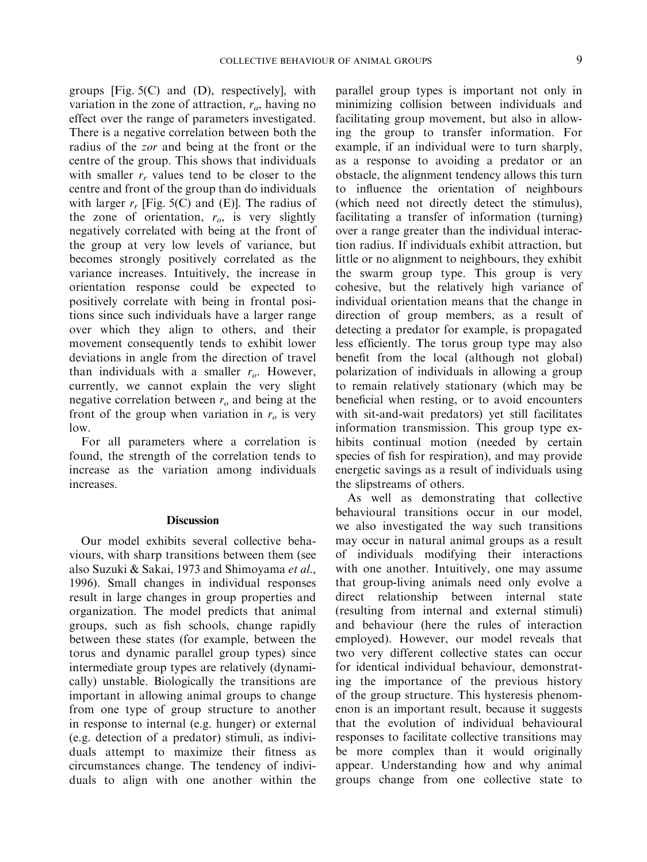groups [\[Fig. 5\(C\)](#page-7-0) and [\(D\)](#page-7-0), respectively], with variation in the zone of attraction,  $r_a$ , having no effect over the range of parameters investigated. There is a negative correlation between both the radius of the zor and being at the front or the centre of the group. This shows that individuals with smaller  $r_r$  values tend to be closer to the centre and front of the group than do individuals with larger  $r_r$  [\[Fig. 5\(C\)](#page-7-0) and [\(E\)](#page-7-0)]. The radius of the zone of orientation,  $r<sub>o</sub>$ , is very slightly negatively correlated with being at the front of the group at very low levels of variance, but becomes strongly positively correlated as the variance increases. Intuitively, the increase in orientation response could be expected to positively correlate with being in frontal positions since such individuals have a larger range over which they align to others, and their movement consequently tends to exhibit lower deviations in angle from the direction of travel than individuals with a smaller  $r<sub>o</sub>$ . However, currently, we cannot explain the very slight negative correlation between  $r<sub>o</sub>$  and being at the front of the group when variation in  $r<sub>o</sub>$  is very low.

For all parameters where a correlation is found, the strength of the correlation tends to increase as the variation among individuals increases.

# **Discussion**

Our model exhibits several collective behaviours, with sharp transitions between them (see also [Suzuki & Sakai, 1973](#page-10-0) and [Shimoyama](#page-10-0) et al., [1996\)](#page-10-0). Small changes in individual responses result in large changes in group properties and organization. The model predicts that animal groups, such as fish schools, change rapidly between these states (for example, between the torus and dynamic parallel group types) since intermediate group types are relatively (dynamically) unstable. Biologically the transitions are important in allowing animal groups to change from one type of group structure to another in response to internal (e.g. hunger) or external (e.g. detection of a predator) stimuli, as individuals attempt to maximize their fitness as circumstances change. The tendency of individuals to align with one another within the parallel group types is important not only in minimizing collision between individuals and facilitating group movement, but also in allowing the group to transfer information. For example, if an individual were to turn sharply, as a response to avoiding a predator or an obstacle, the alignment tendency allows this turn to influence the orientation of neighbours (which need not directly detect the stimulus), facilitating a transfer of information (turning) over a range greater than the individual interaction radius. If individuals exhibit attraction, but little or no alignment to neighbours, they exhibit the swarm group type. This group is very cohesive, but the relatively high variance of individual orientation means that the change in direction of group members, as a result of detecting a predator for example, is propagated less efficiently. The torus group type may also benefit from the local (although not global) polarization of individuals in allowing a group to remain relatively stationary (which may be beneficial when resting, or to avoid encounters with sit-and-wait predators) yet still facilitates information transmission. This group type exhibits continual motion (needed by certain species of fish for respiration), and may provide energetic savings as a result of individuals using the slipstreams of others.

As well as demonstrating that collective behavioural transitions occur in our model, we also investigated the way such transitions may occur in natural animal groups as a result of individuals modifying their interactions with one another. Intuitively, one may assume that group-living animals need only evolve a direct relationship between internal state (resulting from internal and external stimuli) and behaviour (here the rules of interaction employed). However, our model reveals that two very different collective states can occur for identical individual behaviour, demonstrating the importance of the previous history of the group structure. This hysteresis phenomenon is an important result, because it suggests that the evolution of individual behavioural responses to facilitate collective transitions may be more complex than it would originally appear. Understanding how and why animal groups change from one collective state to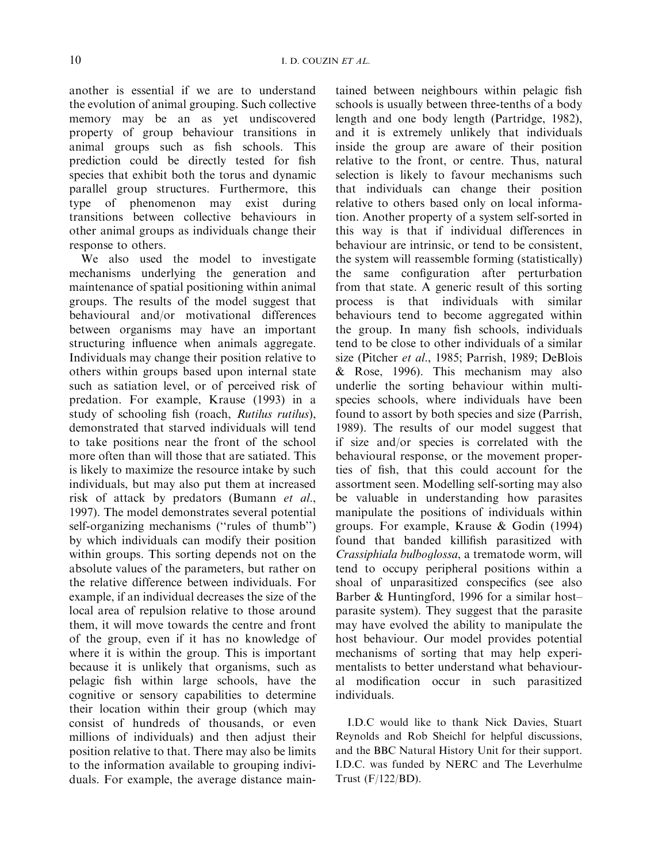another is essential if we are to understand the evolution of animal grouping. Such collective memory may be an as yet undiscovered property of group behaviour transitions in animal groups such as fish schools. This prediction could be directly tested for fish species that exhibit both the torus and dynamic parallel group structures. Furthermore, this type of phenomenon may exist during transitions between collective behaviours in other animal groups as individuals change their response to others.

We also used the model to investigate mechanisms underlying the generation and maintenance of spatial positioning within animal groups. The results of the model suggest that behavioural and/or motivational differences between organisms may have an important structuring influence when animals aggregate. Individuals may change their position relative to others within groups based upon internal state such as satiation level, or of perceived risk of predation. For example, [Krause \(1993\)](#page-10-0) in a study of schooling fish (roach, Rutilus rutilus), demonstrated that starved individuals will tend to take positions near the front of the school more often than will those that are satiated. This is likely to maximize the resource intake by such individuals, but may also put them at increased risk of attack by predators [\(Bumann](#page-10-0) et al., [1997\).](#page-10-0) The model demonstrates several potential self-organizing mechanisms (''rules of thumb'') by which individuals can modify their position within groups. This sorting depends not on the absolute values of the parameters, but rather on the relative difference between individuals. For example, if an individual decreases the size of the local area of repulsion relative to those around them, it will move towards the centre and front of the group, even if it has no knowledge of where it is within the group. This is important because it is unlikely that organisms, such as pelagic fish within large schools, have the cognitive or sensory capabilities to determine their location within their group (which may consist of hundreds of thousands, or even millions of individuals) and then adjust their position relative to that. There may also be limits to the information available to grouping individuals. For example, the average distance maintained between neighbours within pelagic fish schools is usually between three-tenths of a body length and one body length [\(Partridge, 1982\)](#page-10-0), and it is extremely unlikely that individuals inside the group are aware of their position relative to the front, or centre. Thus, natural selection is likely to favour mechanisms such that individuals can change their position relative to others based only on local information. Another property of a system self-sorted in this way is that if individual differences in behaviour are intrinsic, or tend to be consistent, the system will reassemble forming (statistically) the same configuration after perturbation from that state. A generic result of this sorting process is that individuals with similar behaviours tend to become aggregated within the group. In many fish schools, individuals tend to be close to other individuals of a similar size [\(Pitcher](#page-10-0) et al., 1985; [Parrish, 1989; DeBlois](#page-10-0) [& Rose, 1996\)](#page-10-0). This mechanism may also underlie the sorting behaviour within multispecies schools, where individuals have been found to assort by both species and size [\(Parrish,](#page-10-0) [1989\).](#page-10-0) The results of our model suggest that if size and/or species is correlated with the behavioural response, or the movement properties of fish, that this could account for the assortment seen. Modelling self-sorting may also be valuable in understanding how parasites manipulate the positions of individuals within groups. For example, [Krause & Godin \(1994\)](#page-10-0) found that banded killifish parasitized with Crassiphiala bulboglossa, a trematode worm, will tend to occupy peripheral positions within a shoal of unparasitized conspecifics (see also [Barber & Huntingford, 1996](#page-10-0) for a similar host– parasite system). They suggest that the parasite may have evolved the ability to manipulate the host behaviour. Our model provides potential mechanisms of sorting that may help experimentalists to better understand what behavioural modification occur in such parasitized individuals.

I.D.C would like to thank Nick Davies, Stuart Reynolds and Rob Sheichl for helpful discussions, and the BBC Natural History Unit for their support. I.D.C. was funded by NERC and The Leverhulme Trust (F/122/BD).